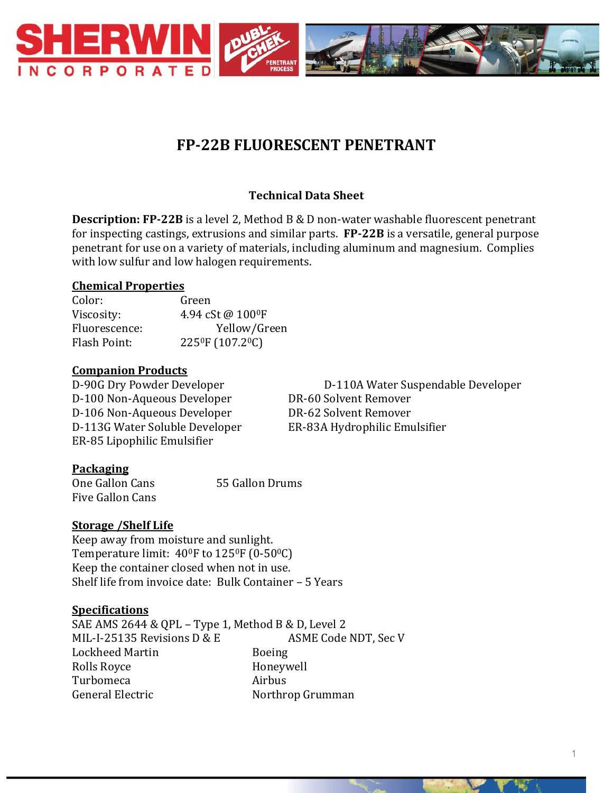

# **FP-22B FLUORESCENT PENETRANT**

# **Technical Data Sheet**

**Description: FP-22B** is a level 2, Method B & D non-water washable fluorescent penetrant for inspecting castings, extrusions and similar parts. **FP-22B** is a versatile, general purpose penetrant for use on a variety of materials, including aluminum and magnesium. Complies with low sulfur and low halogen requirements.

## **Chemical Properties**

| Green                                     |
|-------------------------------------------|
| 4.94 cSt @ 100°F                          |
| Yellow/Green                              |
| 225 <sup>0</sup> F (107.2 <sup>0</sup> C) |
|                                           |

#### **Companion Products**

D-100 Non-Aqueous Developer DR-60 Solvent Remover D-106 Non-Aqueous Developer DR-62 Solvent Remover D-113G Water Soluble Developer ER-83A Hydrophilic Emulsifier ER-85 Lipophilic Emulsifier

D-90G Dry Powder Developer D-110A Water Suspendable Developer

## **Packaging**

One Gallon Cans 55 Gallon Drums Five Gallon Cans

## **Storage /Shelf Life**

Keep away from moisture and sunlight. Temperature limit:  $40^{\circ}$ F to  $125^{\circ}$ F (0-50 $^{\circ}$ C) Keep the container closed when not in use. Shelf life from invoice date: Bulk Container – 5 Years

## **Specifications**

SAE AMS 2644 & QPL – Type 1, Method B & D, Level 2 MIL-I-25135 Revisions D & E ASME Code NDT, Sec V Lockheed Martin Boeing Rolls Royce **Honeywell** Turbomeca Airbus General Electric Northrop Grumman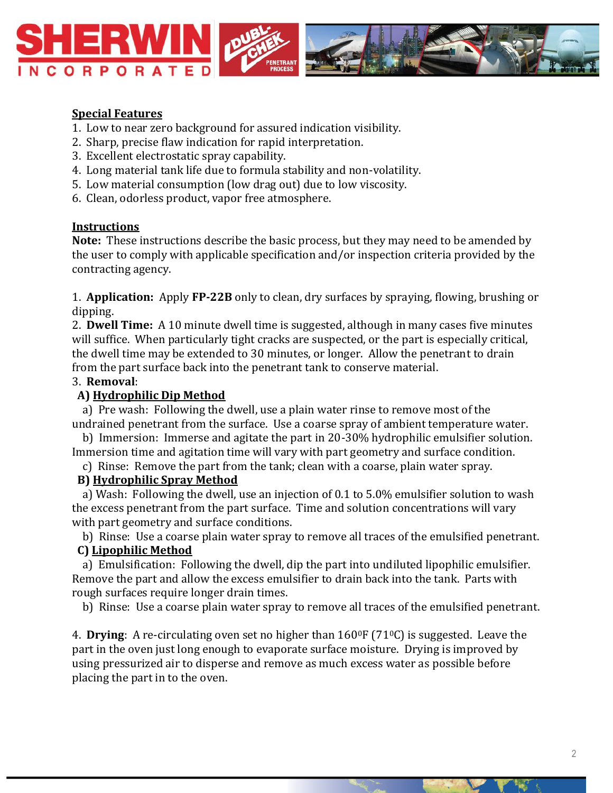

#### **Special Features**

- 1. Low to near zero background for assured indication visibility.
- 2. Sharp, precise flaw indication for rapid interpretation.
- 3. Excellent electrostatic spray capability.
- 4. Long material tank life due to formula stability and non-volatility.
- 5. Low material consumption (low drag out) due to low viscosity.
- 6. Clean, odorless product, vapor free atmosphere.

#### **Instructions**

**Note:** These instructions describe the basic process, but they may need to be amended by the user to comply with applicable specification and/or inspection criteria provided by the contracting agency.

1. **Application:** Apply **FP-22B** only to clean, dry surfaces by spraying, flowing, brushing or dipping.

2. **Dwell Time:** A 10 minute dwell time is suggested, although in many cases five minutes will suffice. When particularly tight cracks are suspected, or the part is especially critical, the dwell time may be extended to 30 minutes, or longer. Allow the penetrant to drain from the part surface back into the penetrant tank to conserve material.

#### 3. **Removal**:

#### **A) Hydrophilic Dip Method**

 a) Pre wash: Following the dwell, use a plain water rinse to remove most of the undrained penetrant from the surface. Use a coarse spray of ambient temperature water.

 b) Immersion: Immerse and agitate the part in 20-30% hydrophilic emulsifier solution. Immersion time and agitation time will vary with part geometry and surface condition.

c) Rinse: Remove the part from the tank; clean with a coarse, plain water spray.

#### **B) Hydrophilic Spray Method**

 a) Wash: Following the dwell, use an injection of 0.1 to 5.0% emulsifier solution to wash the excess penetrant from the part surface. Time and solution concentrations will vary with part geometry and surface conditions.

 b) Rinse: Use a coarse plain water spray to remove all traces of the emulsified penetrant.  **C) Lipophilic Method**

 a) Emulsification: Following the dwell, dip the part into undiluted lipophilic emulsifier. Remove the part and allow the excess emulsifier to drain back into the tank. Parts with rough surfaces require longer drain times.

b) Rinse: Use a coarse plain water spray to remove all traces of the emulsified penetrant.

4. **Drying**: A re-circulating oven set no higher than  $160^\circ$  F (71 $\circ$ C) is suggested. Leave the part in the oven just long enough to evaporate surface moisture. Drying is improved by using pressurized air to disperse and remove as much excess water as possible before placing the part in to the oven.